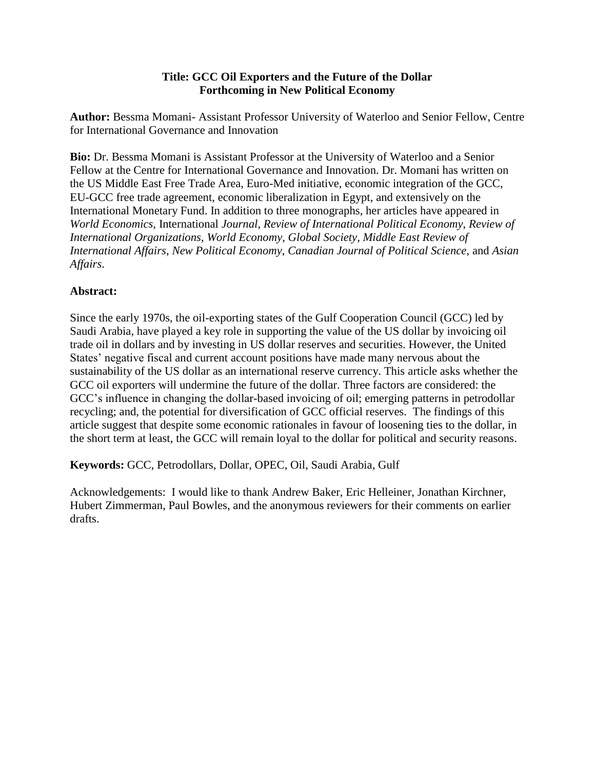#### **Title: GCC Oil Exporters and the Future of the Dollar Forthcoming in New Political Economy**

**Author:** Bessma Momani- Assistant Professor University of Waterloo and Senior Fellow, Centre for International Governance and Innovation

**Bio:** Dr. Bessma Momani is Assistant Professor at the University of Waterloo and a Senior Fellow at the Centre for International Governance and Innovation. Dr. Momani has written on the US Middle East Free Trade Area, Euro-Med initiative, economic integration of the GCC, EU-GCC free trade agreement, economic liberalization in Egypt, and extensively on the International Monetary Fund. In addition to three monographs, her articles have appeared in *World Economics*, International *Journal*, *Review of International Political Economy*, *Review of International Organizations*, *World Economy*, *Global Society*, *Middle East Review of International Affairs*, *New Political Economy*, *Canadian Journal of Political Science*, and *Asian Affairs*.

# **Abstract:**

Since the early 1970s, the oil-exporting states of the Gulf Cooperation Council (GCC) led by Saudi Arabia, have played a key role in supporting the value of the US dollar by invoicing oil trade oil in dollars and by investing in US dollar reserves and securities. However, the United States' negative fiscal and current account positions have made many nervous about the sustainability of the US dollar as an international reserve currency. This article asks whether the GCC oil exporters will undermine the future of the dollar. Three factors are considered: the GCC"s influence in changing the dollar-based invoicing of oil; emerging patterns in petrodollar recycling; and, the potential for diversification of GCC official reserves. The findings of this article suggest that despite some economic rationales in favour of loosening ties to the dollar, in the short term at least, the GCC will remain loyal to the dollar for political and security reasons.

**Keywords:** GCC, Petrodollars, Dollar, OPEC, Oil, Saudi Arabia, Gulf

Acknowledgements: I would like to thank Andrew Baker, Eric Helleiner, Jonathan Kirchner, Hubert Zimmerman, Paul Bowles, and the anonymous reviewers for their comments on earlier drafts.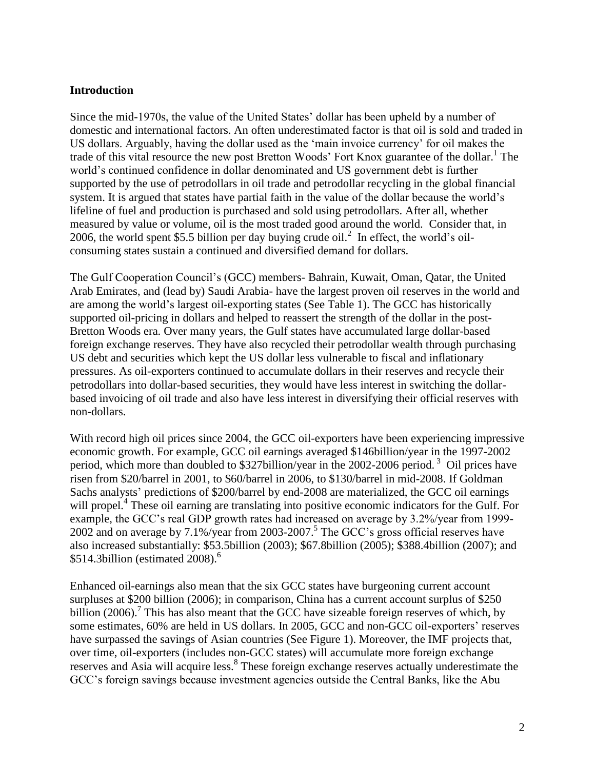#### **Introduction**

Since the mid-1970s, the value of the United States' dollar has been upheld by a number of domestic and international factors. An often underestimated factor is that oil is sold and traded in US dollars. Arguably, having the dollar used as the "main invoice currency" for oil makes the trade of this vital resource the new post Bretton Woods' Fort Knox guarantee of the dollar.<sup>1</sup> The world"s continued confidence in dollar denominated and US government debt is further supported by the use of petrodollars in oil trade and petrodollar recycling in the global financial system. It is argued that states have partial faith in the value of the dollar because the world"s lifeline of fuel and production is purchased and sold using petrodollars. After all, whether measured by value or volume, oil is the most traded good around the world. Consider that, in 2006, the world spent \$5.5 billion per day buying crude oil.<sup>2</sup> In effect, the world's oilconsuming states sustain a continued and diversified demand for dollars.

The Gulf Cooperation Council"s (GCC) members- Bahrain, Kuwait, Oman, Qatar, the United Arab Emirates, and (lead by) Saudi Arabia- have the largest proven oil reserves in the world and are among the world"s largest oil-exporting states (See Table 1). The GCC has historically supported oil-pricing in dollars and helped to reassert the strength of the dollar in the post-Bretton Woods era. Over many years, the Gulf states have accumulated large dollar-based foreign exchange reserves. They have also recycled their petrodollar wealth through purchasing US debt and securities which kept the US dollar less vulnerable to fiscal and inflationary pressures. As oil-exporters continued to accumulate dollars in their reserves and recycle their petrodollars into dollar-based securities, they would have less interest in switching the dollarbased invoicing of oil trade and also have less interest in diversifying their official reserves with non-dollars.

With record high oil prices since 2004, the GCC oil-exporters have been experiencing impressive economic growth. For example, GCC oil earnings averaged \$146billion/year in the 1997-2002 period, which more than doubled to \$327billion/year in the 2002-2006 period.<sup>3</sup> Oil prices have risen from \$20/barrel in 2001, to \$60/barrel in 2006, to \$130/barrel in mid-2008. If Goldman Sachs analysts' predictions of \$200/barrel by end-2008 are materialized, the GCC oil earnings will propel.<sup>4</sup> These oil earning are translating into positive economic indicators for the Gulf. For example, the GCC"s real GDP growth rates had increased on average by 3.2%/year from 1999- 2002 and on average by  $7.1\%$ /year from 2003-2007.<sup>5</sup> The GCC's gross official reserves have also increased substantially: \$53.5billion (2003); \$67.8billion (2005); \$388.4billion (2007); and  $$514.3$ billion (estimated 2008).<sup>6</sup>

Enhanced oil-earnings also mean that the six GCC states have burgeoning current account surpluses at \$200 billion (2006); in comparison, China has a current account surplus of \$250 billion  $(2006)$ .<sup>7</sup> This has also meant that the GCC have sizeable foreign reserves of which, by some estimates, 60% are held in US dollars. In 2005, GCC and non-GCC oil-exporters' reserves have surpassed the savings of Asian countries (See Figure 1). Moreover, the IMF projects that, over time, oil-exporters (includes non-GCC states) will accumulate more foreign exchange reserves and Asia will acquire less.<sup>8</sup> These foreign exchange reserves actually underestimate the GCC"s foreign savings because investment agencies outside the Central Banks, like the Abu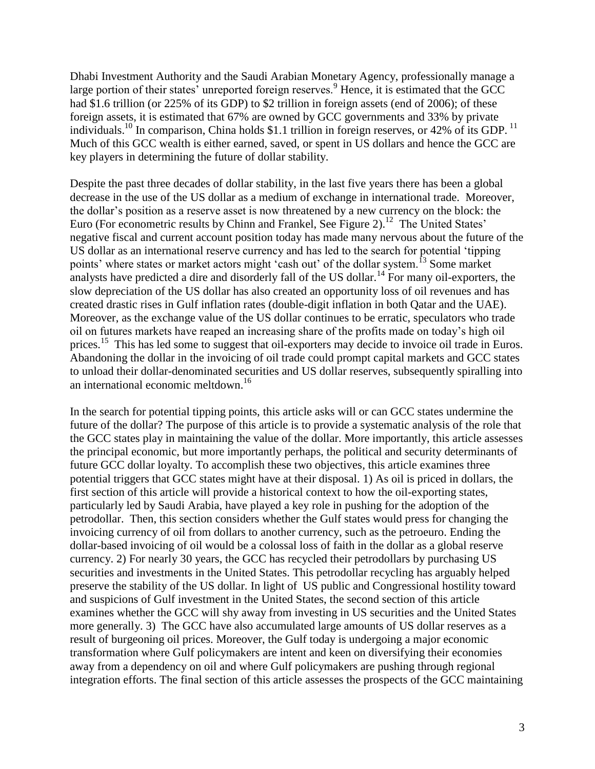Dhabi Investment Authority and the Saudi Arabian Monetary Agency, professionally manage a large portion of their states' unreported foreign reserves.<sup>9</sup> Hence, it is estimated that the GCC had \$1.6 trillion (or 225% of its GDP) to \$2 trillion in foreign assets (end of 2006); of these foreign assets, it is estimated that 67% are owned by GCC governments and 33% by private individuals.<sup>10</sup> In comparison, China holds \$1.1 trillion in foreign reserves, or 42% of its GDP.<sup>11</sup> Much of this GCC wealth is either earned, saved, or spent in US dollars and hence the GCC are key players in determining the future of dollar stability.

Despite the past three decades of dollar stability, in the last five years there has been a global decrease in the use of the US dollar as a medium of exchange in international trade. Moreover, the dollar"s position as a reserve asset is now threatened by a new currency on the block: the Euro (For econometric results by Chinn and Frankel, See Figure 2).<sup>12</sup> The United States' negative fiscal and current account position today has made many nervous about the future of the US dollar as an international reserve currency and has led to the search for potential "tipping points' where states or market actors might 'cash out' of the dollar system.<sup>13</sup> Some market analysts have predicted a dire and disorderly fall of the US dollar.<sup>14</sup> For many oil-exporters, the slow depreciation of the US dollar has also created an opportunity loss of oil revenues and has created drastic rises in Gulf inflation rates (double-digit inflation in both Qatar and the UAE). Moreover, as the exchange value of the US dollar continues to be erratic, speculators who trade oil on futures markets have reaped an increasing share of the profits made on today"s high oil prices.<sup>15</sup> This has led some to suggest that oil-exporters may decide to invoice oil trade in Euros. Abandoning the dollar in the invoicing of oil trade could prompt capital markets and GCC states to unload their dollar-denominated securities and US dollar reserves, subsequently spiralling into an international economic meltdown.<sup>16</sup>

In the search for potential tipping points, this article asks will or can GCC states undermine the future of the dollar? The purpose of this article is to provide a systematic analysis of the role that the GCC states play in maintaining the value of the dollar. More importantly, this article assesses the principal economic, but more importantly perhaps, the political and security determinants of future GCC dollar loyalty. To accomplish these two objectives, this article examines three potential triggers that GCC states might have at their disposal. 1) As oil is priced in dollars, the first section of this article will provide a historical context to how the oil-exporting states, particularly led by Saudi Arabia, have played a key role in pushing for the adoption of the petrodollar. Then, this section considers whether the Gulf states would press for changing the invoicing currency of oil from dollars to another currency, such as the petroeuro. Ending the dollar-based invoicing of oil would be a colossal loss of faith in the dollar as a global reserve currency. 2) For nearly 30 years, the GCC has recycled their petrodollars by purchasing US securities and investments in the United States. This petrodollar recycling has arguably helped preserve the stability of the US dollar. In light of US public and Congressional hostility toward and suspicions of Gulf investment in the United States, the second section of this article examines whether the GCC will shy away from investing in US securities and the United States more generally. 3) The GCC have also accumulated large amounts of US dollar reserves as a result of burgeoning oil prices. Moreover, the Gulf today is undergoing a major economic transformation where Gulf policymakers are intent and keen on diversifying their economies away from a dependency on oil and where Gulf policymakers are pushing through regional integration efforts. The final section of this article assesses the prospects of the GCC maintaining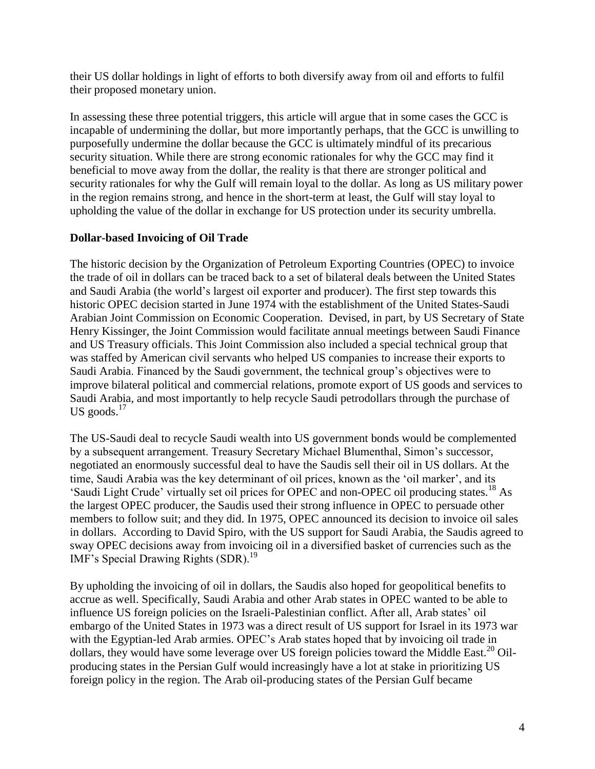their US dollar holdings in light of efforts to both diversify away from oil and efforts to fulfil their proposed monetary union.

In assessing these three potential triggers, this article will argue that in some cases the GCC is incapable of undermining the dollar, but more importantly perhaps, that the GCC is unwilling to purposefully undermine the dollar because the GCC is ultimately mindful of its precarious security situation. While there are strong economic rationales for why the GCC may find it beneficial to move away from the dollar, the reality is that there are stronger political and security rationales for why the Gulf will remain loyal to the dollar. As long as US military power in the region remains strong, and hence in the short-term at least, the Gulf will stay loyal to upholding the value of the dollar in exchange for US protection under its security umbrella.

## **Dollar-based Invoicing of Oil Trade**

The historic decision by the Organization of Petroleum Exporting Countries (OPEC) to invoice the trade of oil in dollars can be traced back to a set of bilateral deals between the United States and Saudi Arabia (the world"s largest oil exporter and producer). The first step towards this historic OPEC decision started in June 1974 with the establishment of the United States-Saudi Arabian Joint Commission on Economic Cooperation. Devised, in part, by US Secretary of State Henry Kissinger, the Joint Commission would facilitate annual meetings between Saudi Finance and US Treasury officials. This Joint Commission also included a special technical group that was staffed by American civil servants who helped US companies to increase their exports to Saudi Arabia. Financed by the Saudi government, the technical group's objectives were to improve bilateral political and commercial relations, promote export of US goods and services to Saudi Arabia, and most importantly to help recycle Saudi petrodollars through the purchase of US goods. $17$ 

The US-Saudi deal to recycle Saudi wealth into US government bonds would be complemented by a subsequent arrangement. Treasury Secretary Michael Blumenthal, Simon"s successor, negotiated an enormously successful deal to have the Saudis sell their oil in US dollars. At the time, Saudi Arabia was the key determinant of oil prices, known as the "oil marker", and its 'Saudi Light Crude' virtually set oil prices for OPEC and non-OPEC oil producing states.<sup>18</sup> As the largest OPEC producer, the Saudis used their strong influence in OPEC to persuade other members to follow suit; and they did. In 1975, OPEC announced its decision to invoice oil sales in dollars. According to David Spiro, with the US support for Saudi Arabia, the Saudis agreed to sway OPEC decisions away from invoicing oil in a diversified basket of currencies such as the IMF's Special Drawing Rights (SDR).<sup>19</sup>

By upholding the invoicing of oil in dollars, the Saudis also hoped for geopolitical benefits to accrue as well. Specifically, Saudi Arabia and other Arab states in OPEC wanted to be able to influence US foreign policies on the Israeli-Palestinian conflict. After all, Arab states" oil embargo of the United States in 1973 was a direct result of US support for Israel in its 1973 war with the Egyptian-led Arab armies. OPEC's Arab states hoped that by invoicing oil trade in dollars, they would have some leverage over US foreign policies toward the Middle East.<sup>20</sup> Oilproducing states in the Persian Gulf would increasingly have a lot at stake in prioritizing US foreign policy in the region. The Arab oil-producing states of the Persian Gulf became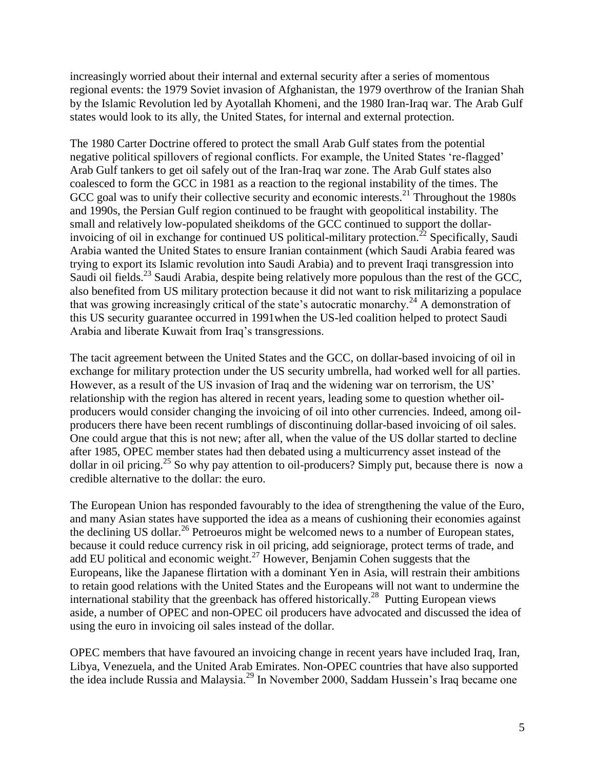increasingly worried about their internal and external security after a series of momentous regional events: the 1979 Soviet invasion of Afghanistan, the 1979 overthrow of the Iranian Shah by the Islamic Revolution led by Ayotallah Khomeni, and the 1980 Iran-Iraq war. The Arab Gulf states would look to its ally, the United States, for internal and external protection.

The 1980 Carter Doctrine offered to protect the small Arab Gulf states from the potential negative political spillovers of regional conflicts. For example, the United States "re-flagged" Arab Gulf tankers to get oil safely out of the Iran-Iraq war zone. The Arab Gulf states also coalesced to form the GCC in 1981 as a reaction to the regional instability of the times. The GCC goal was to unify their collective security and economic interests.<sup>21</sup> Throughout the 1980s and 1990s, the Persian Gulf region continued to be fraught with geopolitical instability. The small and relatively low-populated sheikdoms of the GCC continued to support the dollarinvoicing of oil in exchange for continued US political-military protection.<sup>22</sup> Specifically, Saudi Arabia wanted the United States to ensure Iranian containment (which Saudi Arabia feared was trying to export its Islamic revolution into Saudi Arabia) and to prevent Iraqi transgression into Saudi oil fields.<sup>23</sup> Saudi Arabia, despite being relatively more populous than the rest of the GCC, also benefited from US military protection because it did not want to risk militarizing a populace that was growing increasingly critical of the state's autocratic monarchy.<sup>24</sup> A demonstration of this US security guarantee occurred in 1991when the US-led coalition helped to protect Saudi Arabia and liberate Kuwait from Iraq"s transgressions.

The tacit agreement between the United States and the GCC, on dollar-based invoicing of oil in exchange for military protection under the US security umbrella, had worked well for all parties. However, as a result of the US invasion of Iraq and the widening war on terrorism, the US' relationship with the region has altered in recent years, leading some to question whether oilproducers would consider changing the invoicing of oil into other currencies. Indeed, among oilproducers there have been recent rumblings of discontinuing dollar-based invoicing of oil sales. One could argue that this is not new; after all, when the value of the US dollar started to decline after 1985, OPEC member states had then debated using a multicurrency asset instead of the dollar in oil pricing.<sup>25</sup> So why pay attention to oil-producers? Simply put, because there is now a credible alternative to the dollar: the euro.

The European Union has responded favourably to the idea of strengthening the value of the Euro, and many Asian states have supported the idea as a means of cushioning their economies against the declining US dollar.<sup>26</sup> Petroeuros might be welcomed news to a number of European states, because it could reduce currency risk in oil pricing, add seigniorage, protect terms of trade, and add EU political and economic weight.<sup>27</sup> However, Benjamin Cohen suggests that the Europeans, like the Japanese flirtation with a dominant Yen in Asia, will restrain their ambitions to retain good relations with the United States and the Europeans will not want to undermine the international stability that the greenback has offered historically.<sup>28</sup> Putting European views aside, a number of OPEC and non-OPEC oil producers have advocated and discussed the idea of using the euro in invoicing oil sales instead of the dollar.

OPEC members that have favoured an invoicing change in recent years have included Iraq, Iran, Libya, Venezuela, and the United Arab Emirates. Non-OPEC countries that have also supported the idea include Russia and Malaysia.<sup>29</sup> In November 2000, Saddam Hussein"s Iraq became one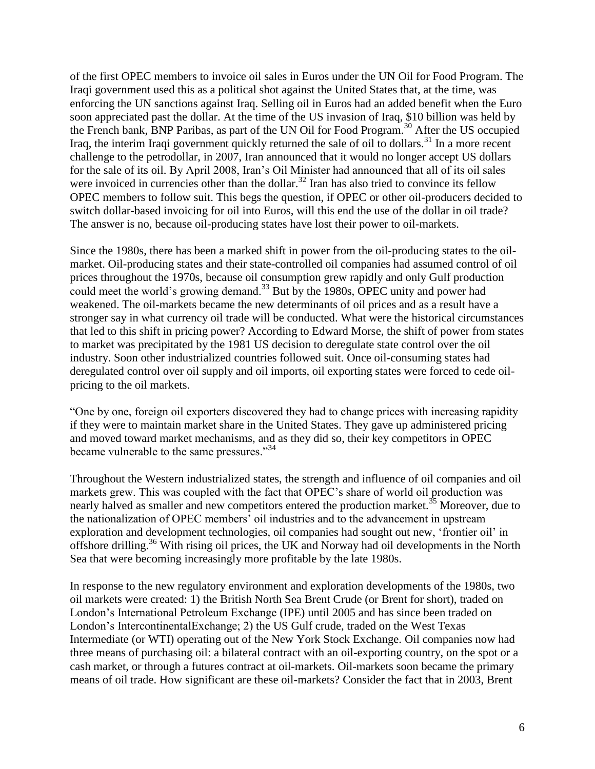of the first OPEC members to invoice oil sales in Euros under the UN Oil for Food Program. The Iraqi government used this as a political shot against the United States that, at the time, was enforcing the UN sanctions against Iraq. Selling oil in Euros had an added benefit when the Euro soon appreciated past the dollar. At the time of the US invasion of Iraq, \$10 billion was held by the French bank, BNP Paribas, as part of the UN Oil for Food Program.<sup>30</sup> After the US occupied Iraq, the interim Iraqi government quickly returned the sale of oil to dollars.<sup>31</sup> In a more recent challenge to the petrodollar, in 2007, Iran announced that it would no longer accept US dollars for the sale of its oil. By April 2008, Iran"s Oil Minister had announced that all of its oil sales were invoiced in currencies other than the dollar.<sup>32</sup> Iran has also tried to convince its fellow OPEC members to follow suit. This begs the question, if OPEC or other oil-producers decided to switch dollar-based invoicing for oil into Euros, will this end the use of the dollar in oil trade? The answer is no, because oil-producing states have lost their power to oil-markets.

Since the 1980s, there has been a marked shift in power from the oil-producing states to the oilmarket. Oil-producing states and their state-controlled oil companies had assumed control of oil prices throughout the 1970s, because oil consumption grew rapidly and only Gulf production could meet the world's growing demand.<sup>33</sup> But by the 1980s, OPEC unity and power had weakened. The oil-markets became the new determinants of oil prices and as a result have a stronger say in what currency oil trade will be conducted. What were the historical circumstances that led to this shift in pricing power? According to Edward Morse, the shift of power from states to market was precipitated by the 1981 US decision to deregulate state control over the oil industry. Soon other industrialized countries followed suit. Once oil-consuming states had deregulated control over oil supply and oil imports, oil exporting states were forced to cede oilpricing to the oil markets.

"One by one, foreign oil exporters discovered they had to change prices with increasing rapidity if they were to maintain market share in the United States. They gave up administered pricing and moved toward market mechanisms, and as they did so, their key competitors in OPEC became vulnerable to the same pressures."<sup>34</sup>

Throughout the Western industrialized states, the strength and influence of oil companies and oil markets grew. This was coupled with the fact that OPEC"s share of world oil production was nearly halved as smaller and new competitors entered the production market.<sup>35</sup> Moreover, due to the nationalization of OPEC members' oil industries and to the advancement in upstream exploration and development technologies, oil companies had sought out new, "frontier oil" in offshore drilling.<sup>36</sup> With rising oil prices, the UK and Norway had oil developments in the North Sea that were becoming increasingly more profitable by the late 1980s.

In response to the new regulatory environment and exploration developments of the 1980s, two oil markets were created: 1) the British North Sea Brent Crude (or Brent for short), traded on London"s International Petroleum Exchange (IPE) until 2005 and has since been traded on London"s IntercontinentalExchange; 2) the US Gulf crude, traded on the West Texas Intermediate (or WTI) operating out of the New York Stock Exchange. Oil companies now had three means of purchasing oil: a bilateral contract with an oil-exporting country, on the spot or a cash market, or through a futures contract at oil-markets. Oil-markets soon became the primary means of oil trade. How significant are these oil-markets? Consider the fact that in 2003, Brent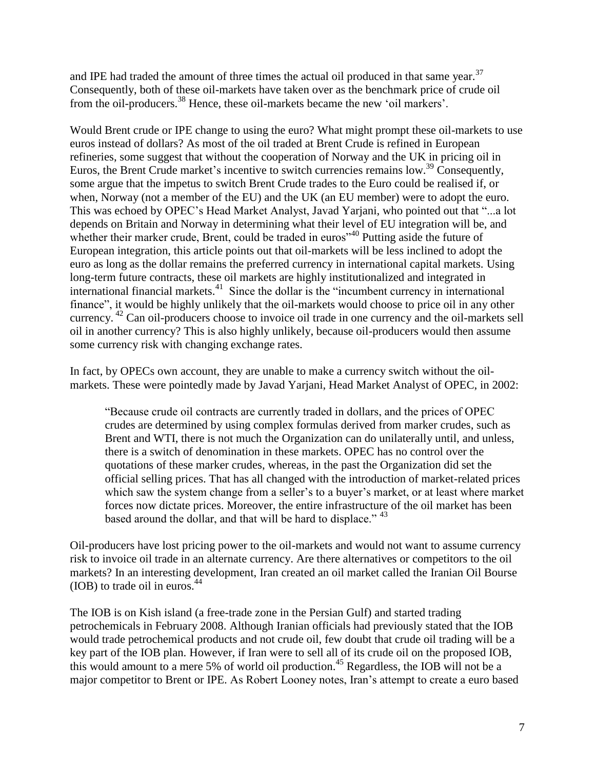and IPE had traded the amount of three times the actual oil produced in that same year.<sup>37</sup> Consequently, both of these oil-markets have taken over as the benchmark price of crude oil from the oil-producers.<sup>38</sup> Hence, these oil-markets became the new "oil markers".

Would Brent crude or IPE change to using the euro? What might prompt these oil-markets to use euros instead of dollars? As most of the oil traded at Brent Crude is refined in European refineries, some suggest that without the cooperation of Norway and the UK in pricing oil in Euros, the Brent Crude market's incentive to switch currencies remains low.<sup>39</sup> Consequently, some argue that the impetus to switch Brent Crude trades to the Euro could be realised if, or when, Norway (not a member of the EU) and the UK (an EU member) were to adopt the euro. This was echoed by OPEC"s Head Market Analyst, Javad Yarjani, who pointed out that "...a lot depends on Britain and Norway in determining what their level of EU integration will be, and whether their marker crude, Brent, could be traded in euros<sup>340</sup> Putting aside the future of European integration, this article points out that oil-markets will be less inclined to adopt the euro as long as the dollar remains the preferred currency in international capital markets. Using long-term future contracts, these oil markets are highly institutionalized and integrated in international financial markets.<sup>41</sup> Since the dollar is the "incumbent currency in international finance", it would be highly unlikely that the oil-markets would choose to price oil in any other currency. <sup>42</sup> Can oil-producers choose to invoice oil trade in one currency and the oil-markets sell oil in another currency? This is also highly unlikely, because oil-producers would then assume some currency risk with changing exchange rates.

In fact, by OPECs own account, they are unable to make a currency switch without the oilmarkets. These were pointedly made by Javad Yarjani, Head Market Analyst of OPEC, in 2002:

"Because crude oil contracts are currently traded in dollars, and the prices of OPEC crudes are determined by using complex formulas derived from marker crudes, such as Brent and WTI, there is not much the Organization can do unilaterally until, and unless, there is a switch of denomination in these markets. OPEC has no control over the quotations of these marker crudes, whereas, in the past the Organization did set the official selling prices. That has all changed with the introduction of market-related prices which saw the system change from a seller's to a buyer's market, or at least where market forces now dictate prices. Moreover, the entire infrastructure of the oil market has been based around the dollar, and that will be hard to displace." <sup>43</sup>

Oil-producers have lost pricing power to the oil-markets and would not want to assume currency risk to invoice oil trade in an alternate currency. Are there alternatives or competitors to the oil markets? In an interesting development, Iran created an oil market called the Iranian Oil Bourse  $(IOB)$  to trade oil in euros.<sup>44</sup>

The IOB is on Kish island (a free-trade zone in the Persian Gulf) and started trading petrochemicals in February 2008. Although Iranian officials had previously stated that the IOB would trade petrochemical products and not crude oil, few doubt that crude oil trading will be a key part of the IOB plan. However, if Iran were to sell all of its crude oil on the proposed IOB, this would amount to a mere 5% of world oil production.<sup>45</sup> Regardless, the IOB will not be a major competitor to Brent or IPE. As Robert Looney notes, Iran"s attempt to create a euro based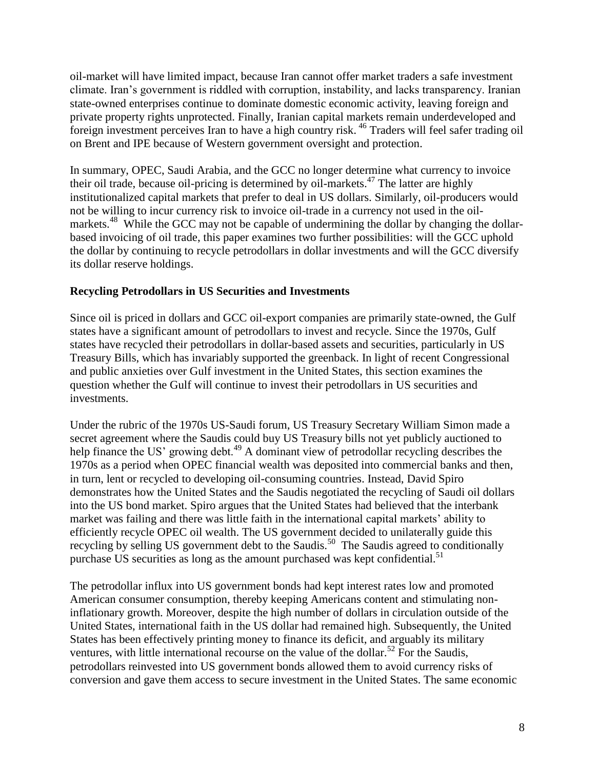oil-market will have limited impact, because Iran cannot offer market traders a safe investment climate. Iran"s government is riddled with corruption, instability, and lacks transparency. Iranian state-owned enterprises continue to dominate domestic economic activity, leaving foreign and private property rights unprotected. Finally, Iranian capital markets remain underdeveloped and foreign investment perceives Iran to have a high country risk. <sup>46</sup> Traders will feel safer trading oil on Brent and IPE because of Western government oversight and protection.

In summary, OPEC, Saudi Arabia, and the GCC no longer determine what currency to invoice their oil trade, because oil-pricing is determined by oil-markets.<sup>47</sup> The latter are highly institutionalized capital markets that prefer to deal in US dollars. Similarly, oil-producers would not be willing to incur currency risk to invoice oil-trade in a currency not used in the oilmarkets.<sup>48</sup> While the GCC may not be capable of undermining the dollar by changing the dollarbased invoicing of oil trade, this paper examines two further possibilities: will the GCC uphold the dollar by continuing to recycle petrodollars in dollar investments and will the GCC diversify its dollar reserve holdings.

## **Recycling Petrodollars in US Securities and Investments**

Since oil is priced in dollars and GCC oil-export companies are primarily state-owned, the Gulf states have a significant amount of petrodollars to invest and recycle. Since the 1970s, Gulf states have recycled their petrodollars in dollar-based assets and securities, particularly in US Treasury Bills, which has invariably supported the greenback. In light of recent Congressional and public anxieties over Gulf investment in the United States, this section examines the question whether the Gulf will continue to invest their petrodollars in US securities and investments.

Under the rubric of the 1970s US-Saudi forum, US Treasury Secretary William Simon made a secret agreement where the Saudis could buy US Treasury bills not yet publicly auctioned to help finance the US' growing debt.<sup>49</sup> A dominant view of petrodollar recycling describes the 1970s as a period when OPEC financial wealth was deposited into commercial banks and then, in turn, lent or recycled to developing oil-consuming countries. Instead, David Spiro demonstrates how the United States and the Saudis negotiated the recycling of Saudi oil dollars into the US bond market. Spiro argues that the United States had believed that the interbank market was failing and there was little faith in the international capital markets' ability to efficiently recycle OPEC oil wealth. The US government decided to unilaterally guide this recycling by selling US government debt to the Saudis.<sup>50</sup> The Saudis agreed to conditionally purchase US securities as long as the amount purchased was kept confidential.<sup>51</sup>

The petrodollar influx into US government bonds had kept interest rates low and promoted American consumer consumption, thereby keeping Americans content and stimulating noninflationary growth. Moreover, despite the high number of dollars in circulation outside of the United States, international faith in the US dollar had remained high. Subsequently, the United States has been effectively printing money to finance its deficit, and arguably its military ventures, with little international recourse on the value of the dollar.<sup>52</sup> For the Saudis, petrodollars reinvested into US government bonds allowed them to avoid currency risks of conversion and gave them access to secure investment in the United States. The same economic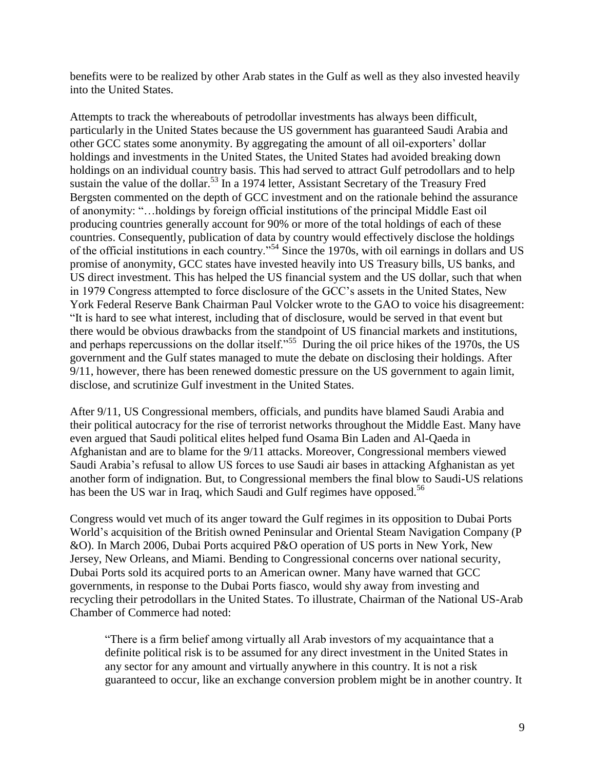benefits were to be realized by other Arab states in the Gulf as well as they also invested heavily into the United States.

Attempts to track the whereabouts of petrodollar investments has always been difficult, particularly in the United States because the US government has guaranteed Saudi Arabia and other GCC states some anonymity. By aggregating the amount of all oil-exporters" dollar holdings and investments in the United States, the United States had avoided breaking down holdings on an individual country basis. This had served to attract Gulf petrodollars and to help sustain the value of the dollar.<sup>53</sup> In a 1974 letter, Assistant Secretary of the Treasury Fred Bergsten commented on the depth of GCC investment and on the rationale behind the assurance of anonymity: "…holdings by foreign official institutions of the principal Middle East oil producing countries generally account for 90% or more of the total holdings of each of these countries. Consequently, publication of data by country would effectively disclose the holdings of the official institutions in each country."<sup>54</sup> Since the 1970s, with oil earnings in dollars and US promise of anonymity, GCC states have invested heavily into US Treasury bills, US banks, and US direct investment. This has helped the US financial system and the US dollar, such that when in 1979 Congress attempted to force disclosure of the GCC"s assets in the United States, New York Federal Reserve Bank Chairman Paul Volcker wrote to the GAO to voice his disagreement: "It is hard to see what interest, including that of disclosure, would be served in that event but there would be obvious drawbacks from the standpoint of US financial markets and institutions, and perhaps repercussions on the dollar itself."<sup>55</sup> During the oil price hikes of the 1970s, the US government and the Gulf states managed to mute the debate on disclosing their holdings. After 9/11, however, there has been renewed domestic pressure on the US government to again limit, disclose, and scrutinize Gulf investment in the United States.

After 9/11, US Congressional members, officials, and pundits have blamed Saudi Arabia and their political autocracy for the rise of terrorist networks throughout the Middle East. Many have even argued that Saudi political elites helped fund Osama Bin Laden and Al-Qaeda in Afghanistan and are to blame for the 9/11 attacks. Moreover, Congressional members viewed Saudi Arabia's refusal to allow US forces to use Saudi air bases in attacking Afghanistan as yet another form of indignation. But, to Congressional members the final blow to Saudi-US relations has been the US war in Iraq, which Saudi and Gulf regimes have opposed.<sup>56</sup>

Congress would vet much of its anger toward the Gulf regimes in its opposition to Dubai Ports World"s acquisition of the British owned Peninsular and Oriental Steam Navigation Company (P &O). In March 2006, Dubai Ports acquired P&O operation of US ports in New York, New Jersey, New Orleans, and Miami. Bending to Congressional concerns over national security, Dubai Ports sold its acquired ports to an American owner. Many have warned that GCC governments, in response to the Dubai Ports fiasco, would shy away from investing and recycling their petrodollars in the United States. To illustrate, Chairman of the National US-Arab Chamber of Commerce had noted:

"There is a firm belief among virtually all Arab investors of my acquaintance that a definite political risk is to be assumed for any direct investment in the United States in any sector for any amount and virtually anywhere in this country. It is not a risk guaranteed to occur, like an exchange conversion problem might be in another country. It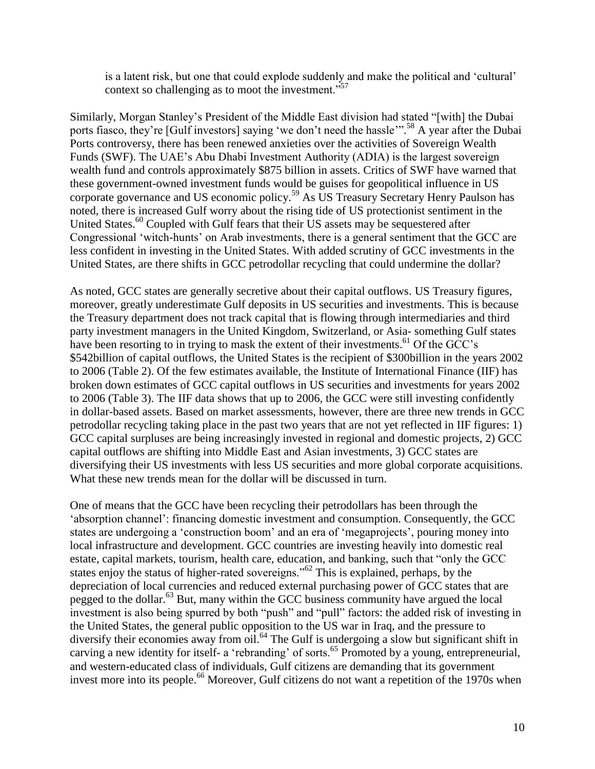is a latent risk, but one that could explode suddenly and make the political and "cultural" context so challenging as to moot the investment."<sup>57</sup>

Similarly, Morgan Stanley"s President of the Middle East division had stated "[with] the Dubai ports fiasco, they're [Gulf investors] saying 'we don't need the hassle"<sup>58</sup> A year after the Dubai Ports controversy, there has been renewed anxieties over the activities of Sovereign Wealth Funds (SWF). The UAE"s Abu Dhabi Investment Authority (ADIA) is the largest sovereign wealth fund and controls approximately \$875 billion in assets. Critics of SWF have warned that these government-owned investment funds would be guises for geopolitical influence in US corporate governance and US economic policy. <sup>59</sup> As US Treasury Secretary Henry Paulson has noted, there is increased Gulf worry about the rising tide of US protectionist sentiment in the United States.<sup>60</sup> Coupled with Gulf fears that their US assets may be sequestered after Congressional "witch-hunts" on Arab investments, there is a general sentiment that the GCC are less confident in investing in the United States. With added scrutiny of GCC investments in the United States, are there shifts in GCC petrodollar recycling that could undermine the dollar?

As noted, GCC states are generally secretive about their capital outflows. US Treasury figures, moreover, greatly underestimate Gulf deposits in US securities and investments. This is because the Treasury department does not track capital that is flowing through intermediaries and third party investment managers in the United Kingdom, Switzerland, or Asia- something Gulf states have been resorting to in trying to mask the extent of their investments.  $^{61}$  Of the GCC's \$542billion of capital outflows, the United States is the recipient of \$300billion in the years 2002 to 2006 (Table 2). Of the few estimates available, the Institute of International Finance (IIF) has broken down estimates of GCC capital outflows in US securities and investments for years 2002 to 2006 (Table 3). The IIF data shows that up to 2006, the GCC were still investing confidently in dollar-based assets. Based on market assessments, however, there are three new trends in GCC petrodollar recycling taking place in the past two years that are not yet reflected in IIF figures: 1) GCC capital surpluses are being increasingly invested in regional and domestic projects, 2) GCC capital outflows are shifting into Middle East and Asian investments, 3) GCC states are diversifying their US investments with less US securities and more global corporate acquisitions. What these new trends mean for the dollar will be discussed in turn.

One of means that the GCC have been recycling their petrodollars has been through the "absorption channel": financing domestic investment and consumption. Consequently, the GCC states are undergoing a 'construction boom' and an era of 'megaprojects', pouring money into local infrastructure and development. GCC countries are investing heavily into domestic real estate, capital markets, tourism, health care, education, and banking, such that "only the GCC states enjoy the status of higher-rated sovereigns."<sup>62</sup> This is explained, perhaps, by the depreciation of local currencies and reduced external purchasing power of GCC states that are pegged to the dollar.<sup>63</sup> But, many within the GCC business community have argued the local investment is also being spurred by both "push" and "pull" factors: the added risk of investing in the United States, the general public opposition to the US war in Iraq, and the pressure to diversify their economies away from oil.<sup>64</sup> The Gulf is undergoing a slow but significant shift in carving a new identity for itself- a 'rebranding' of sorts.<sup>65</sup> Promoted by a young, entrepreneurial, and western-educated class of individuals, Gulf citizens are demanding that its government invest more into its people.<sup>66</sup> Moreover, Gulf citizens do not want a repetition of the 1970s when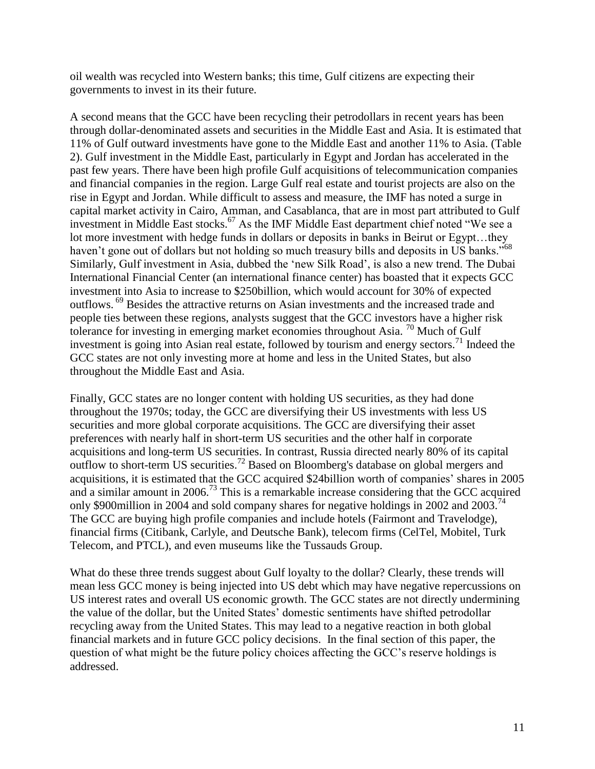oil wealth was recycled into Western banks; this time, Gulf citizens are expecting their governments to invest in its their future.

A second means that the GCC have been recycling their petrodollars in recent years has been through dollar-denominated assets and securities in the Middle East and Asia. It is estimated that 11% of Gulf outward investments have gone to the Middle East and another 11% to Asia. (Table 2). Gulf investment in the Middle East, particularly in Egypt and Jordan has accelerated in the past few years. There have been high profile Gulf acquisitions of telecommunication companies and financial companies in the region. Large Gulf real estate and tourist projects are also on the rise in Egypt and Jordan. While difficult to assess and measure, the IMF has noted a surge in capital market activity in Cairo, Amman, and Casablanca, that are in most part attributed to Gulf investment in Middle East stocks.<sup>67</sup> As the IMF Middle East department chief noted "We see a lot more investment with hedge funds in dollars or deposits in banks in Beirut or Egypt…they haven't gone out of dollars but not holding so much treasury bills and deposits in US banks."<sup>68</sup> Similarly, Gulf investment in Asia, dubbed the "new Silk Road", is also a new trend. The Dubai International Financial Center (an international finance center) has boasted that it expects GCC investment into Asia to increase to \$250billion, which would account for 30% of expected outflows. <sup>69</sup> Besides the attractive returns on Asian investments and the increased trade and people ties between these regions, analysts suggest that the GCC investors have a higher risk tolerance for investing in emerging market economies throughout Asia. <sup>70</sup> Much of Gulf investment is going into Asian real estate, followed by tourism and energy sectors.<sup>71</sup> Indeed the GCC states are not only investing more at home and less in the United States, but also throughout the Middle East and Asia.

Finally, GCC states are no longer content with holding US securities, as they had done throughout the 1970s; today, the GCC are diversifying their US investments with less US securities and more global corporate acquisitions. The GCC are diversifying their asset preferences with nearly half in short-term US securities and the other half in corporate acquisitions and long-term US securities. In contrast, Russia directed nearly 80% of its capital outflow to short-term US securities.<sup>72</sup> Based on Bloomberg's database on global mergers and acquisitions, it is estimated that the GCC acquired \$24billion worth of companies" shares in 2005 and a similar amount in 2006.<sup>73</sup> This is a remarkable increase considering that the GCC acquired only \$900million in 2004 and sold company shares for negative holdings in 2002 and 2003.<sup>74</sup> The GCC are buying high profile companies and include hotels (Fairmont and Travelodge), financial firms (Citibank, Carlyle, and Deutsche Bank), telecom firms (CelTel, Mobitel, Turk Telecom, and PTCL), and even museums like the Tussauds Group.

What do these three trends suggest about Gulf loyalty to the dollar? Clearly, these trends will mean less GCC money is being injected into US debt which may have negative repercussions on US interest rates and overall US economic growth. The GCC states are not directly undermining the value of the dollar, but the United States" domestic sentiments have shifted petrodollar recycling away from the United States. This may lead to a negative reaction in both global financial markets and in future GCC policy decisions. In the final section of this paper, the question of what might be the future policy choices affecting the GCC"s reserve holdings is addressed.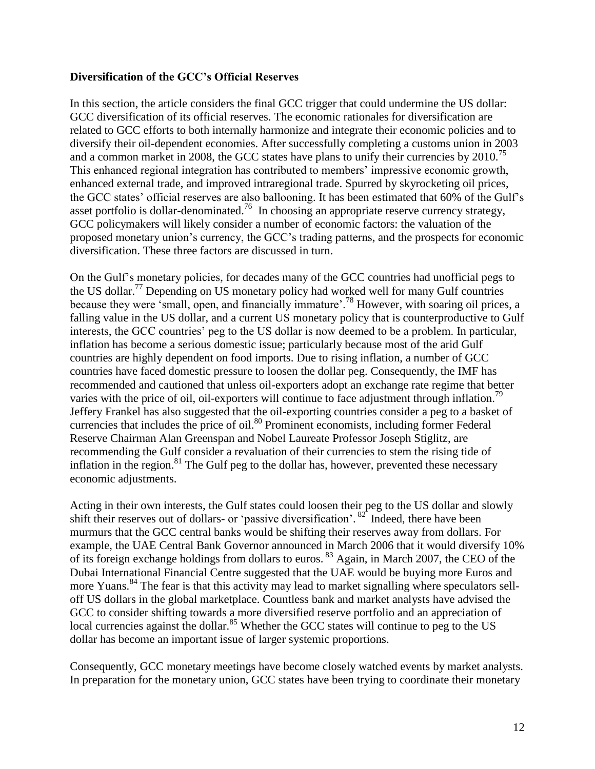### **Diversification of the GCC's Official Reserves**

In this section, the article considers the final GCC trigger that could undermine the US dollar: GCC diversification of its official reserves. The economic rationales for diversification are related to GCC efforts to both internally harmonize and integrate their economic policies and to diversify their oil-dependent economies. After successfully completing a customs union in 2003 and a common market in 2008, the GCC states have plans to unify their currencies by 2010.<sup>75</sup> This enhanced regional integration has contributed to members' impressive economic growth, enhanced external trade, and improved intraregional trade. Spurred by skyrocketing oil prices, the GCC states" official reserves are also ballooning. It has been estimated that 60% of the Gulf"s asset portfolio is dollar-denominated.<sup>76</sup> In choosing an appropriate reserve currency strategy, GCC policymakers will likely consider a number of economic factors: the valuation of the proposed monetary union"s currency, the GCC"s trading patterns, and the prospects for economic diversification. These three factors are discussed in turn.

On the Gulf"s monetary policies, for decades many of the GCC countries had unofficial pegs to the US dollar.<sup>77</sup> Depending on US monetary policy had worked well for many Gulf countries because they were 'small, open, and financially immature'.<sup>78</sup> However, with soaring oil prices, a falling value in the US dollar, and a current US monetary policy that is counterproductive to Gulf interests, the GCC countries' peg to the US dollar is now deemed to be a problem. In particular, inflation has become a serious domestic issue; particularly because most of the arid Gulf countries are highly dependent on food imports. Due to rising inflation, a number of GCC countries have faced domestic pressure to loosen the dollar peg. Consequently, the IMF has recommended and cautioned that unless oil-exporters adopt an exchange rate regime that better varies with the price of oil, oil-exporters will continue to face adjustment through inflation.<sup>79</sup> Jeffery Frankel has also suggested that the oil-exporting countries consider a peg to a basket of currencies that includes the price of oil.<sup>80</sup> Prominent economists, including former Federal Reserve Chairman Alan Greenspan and Nobel Laureate Professor Joseph Stiglitz, are recommending the Gulf consider a revaluation of their currencies to stem the rising tide of inflation in the region.<sup>81</sup> The Gulf peg to the dollar has, however, prevented these necessary economic adjustments.

Acting in their own interests, the Gulf states could loosen their peg to the US dollar and slowly shift their reserves out of dollars- or 'passive diversification'.  $82^{\circ}$  Indeed, there have been murmurs that the GCC central banks would be shifting their reserves away from dollars. For example, the UAE Central Bank Governor announced in March 2006 that it would diversify 10% of its foreign exchange holdings from dollars to euros. <sup>83</sup> Again, in March 2007, the CEO of the Dubai International Financial Centre suggested that the UAE would be buying more Euros and more Yuans.<sup>84</sup> The fear is that this activity may lead to market signalling where speculators selloff US dollars in the global marketplace. Countless bank and market analysts have advised the GCC to consider shifting towards a more diversified reserve portfolio and an appreciation of local currencies against the dollar.<sup>85</sup> Whether the GCC states will continue to peg to the US dollar has become an important issue of larger systemic proportions.

Consequently, GCC monetary meetings have become closely watched events by market analysts. In preparation for the monetary union, GCC states have been trying to coordinate their monetary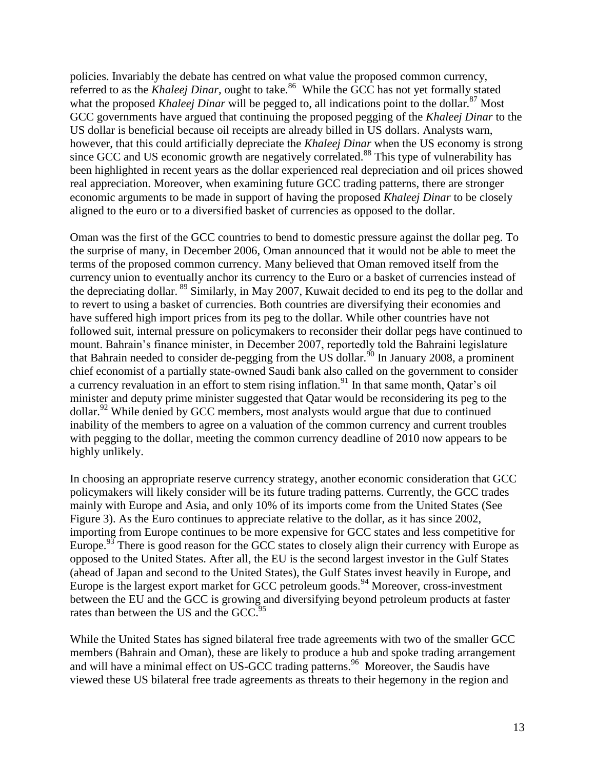policies. Invariably the debate has centred on what value the proposed common currency, referred to as the *Khaleej Dinar*, ought to take.<sup>86</sup> While the GCC has not yet formally stated what the proposed *Khaleej Dinar* will be pegged to, all indications point to the dollar.<sup>87</sup> Most GCC governments have argued that continuing the proposed pegging of the *Khaleej Dinar* to the US dollar is beneficial because oil receipts are already billed in US dollars. Analysts warn, however, that this could artificially depreciate the *Khaleej Dinar* when the US economy is strong since GCC and US economic growth are negatively correlated.<sup>88</sup> This type of vulnerability has been highlighted in recent years as the dollar experienced real depreciation and oil prices showed real appreciation. Moreover, when examining future GCC trading patterns, there are stronger economic arguments to be made in support of having the proposed *Khaleej Dinar* to be closely aligned to the euro or to a diversified basket of currencies as opposed to the dollar.

Oman was the first of the GCC countries to bend to domestic pressure against the dollar peg. To the surprise of many, in December 2006, Oman announced that it would not be able to meet the terms of the proposed common currency. Many believed that Oman removed itself from the currency union to eventually anchor its currency to the Euro or a basket of currencies instead of the depreciating dollar. <sup>89</sup> Similarly, in May 2007, Kuwait decided to end its peg to the dollar and to revert to using a basket of currencies. Both countries are diversifying their economies and have suffered high import prices from its peg to the dollar. While other countries have not followed suit, internal pressure on policymakers to reconsider their dollar pegs have continued to mount. Bahrain"s finance minister, in December 2007, reportedly told the Bahraini legislature that Bahrain needed to consider de-pegging from the US dollar.<sup>90</sup> In January 2008, a prominent chief economist of a partially state-owned Saudi bank also called on the government to consider a currency revaluation in an effort to stem rising inflation.<sup>91</sup> In that same month, Qatar's oil minister and deputy prime minister suggested that Qatar would be reconsidering its peg to the dollar.<sup>92</sup> While denied by GCC members, most analysts would argue that due to continued inability of the members to agree on a valuation of the common currency and current troubles with pegging to the dollar, meeting the common currency deadline of 2010 now appears to be highly unlikely.

In choosing an appropriate reserve currency strategy, another economic consideration that GCC policymakers will likely consider will be its future trading patterns. Currently, the GCC trades mainly with Europe and Asia, and only 10% of its imports come from the United States (See Figure 3). As the Euro continues to appreciate relative to the dollar, as it has since 2002, importing from Europe continues to be more expensive for GCC states and less competitive for Europe.<sup>93</sup> There is good reason for the GCC states to closely align their currency with Europe as opposed to the United States. After all, the EU is the second largest investor in the Gulf States (ahead of Japan and second to the United States), the Gulf States invest heavily in Europe, and Europe is the largest export market for GCC petroleum goods.<sup>94</sup> Moreover, cross-investment between the EU and the GCC is growing and diversifying beyond petroleum products at faster rates than between the US and the GCC.<sup>95</sup>

While the United States has signed bilateral free trade agreements with two of the smaller GCC members (Bahrain and Oman), these are likely to produce a hub and spoke trading arrangement and will have a minimal effect on US-GCC trading patterns.<sup>96</sup> Moreover, the Saudis have viewed these US bilateral free trade agreements as threats to their hegemony in the region and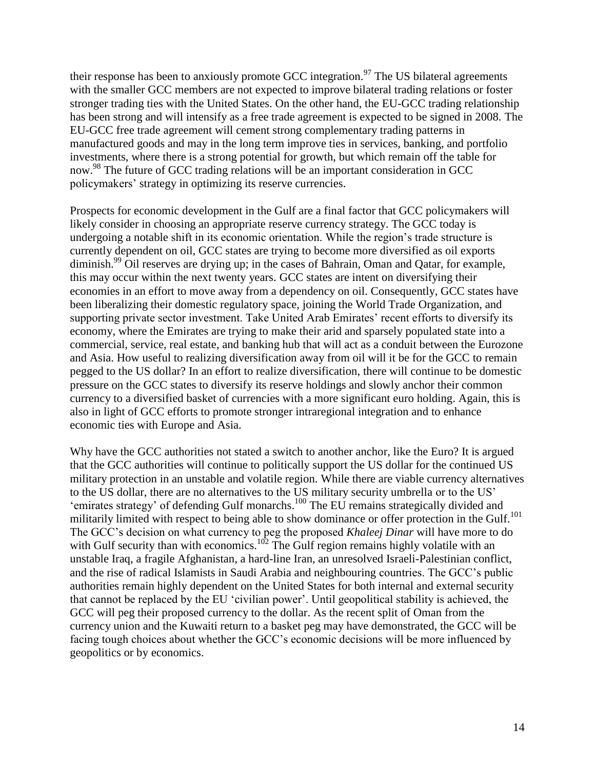their response has been to anxiously promote GCC integration.<sup>97</sup> The US bilateral agreements with the smaller GCC members are not expected to improve bilateral trading relations or foster stronger trading ties with the United States. On the other hand, the EU-GCC trading relationship has been strong and will intensify as a free trade agreement is expected to be signed in 2008. The EU-GCC free trade agreement will cement strong complementary trading patterns in manufactured goods and may in the long term improve ties in services, banking, and portfolio investments, where there is a strong potential for growth, but which remain off the table for now.<sup>98</sup> The future of GCC trading relations will be an important consideration in GCC policymakers" strategy in optimizing its reserve currencies.

Prospects for economic development in the Gulf are a final factor that GCC policymakers will likely consider in choosing an appropriate reserve currency strategy. The GCC today is undergoing a notable shift in its economic orientation. While the region"s trade structure is currently dependent on oil, GCC states are trying to become more diversified as oil exports diminish.<sup>99</sup> Oil reserves are drying up; in the cases of Bahrain, Oman and Qatar, for example, this may occur within the next twenty years. GCC states are intent on diversifying their economies in an effort to move away from a dependency on oil. Consequently, GCC states have been liberalizing their domestic regulatory space, joining the World Trade Organization, and supporting private sector investment. Take United Arab Emirates' recent efforts to diversify its economy, where the Emirates are trying to make their arid and sparsely populated state into a commercial, service, real estate, and banking hub that will act as a conduit between the Eurozone and Asia. How useful to realizing diversification away from oil will it be for the GCC to remain pegged to the US dollar? In an effort to realize diversification, there will continue to be domestic pressure on the GCC states to diversify its reserve holdings and slowly anchor their common currency to a diversified basket of currencies with a more significant euro holding. Again, this is also in light of GCC efforts to promote stronger intraregional integration and to enhance economic ties with Europe and Asia.

Why have the GCC authorities not stated a switch to another anchor, like the Euro? It is argued that the GCC authorities will continue to politically support the US dollar for the continued US military protection in an unstable and volatile region. While there are viable currency alternatives to the US dollar, there are no alternatives to the US military security umbrella or to the US" 'emirates strategy' of defending Gulf monarchs.<sup>100</sup> The EU remains strategically divided and militarily limited with respect to being able to show dominance or offer protection in the Gulf.<sup>101</sup> The GCC"s decision on what currency to peg the proposed *Khaleej Dinar* will have more to do with Gulf security than with economics.<sup>102</sup> The Gulf region remains highly volatile with an unstable Iraq, a fragile Afghanistan, a hard-line Iran, an unresolved Israeli-Palestinian conflict, and the rise of radical Islamists in Saudi Arabia and neighbouring countries. The GCC"s public authorities remain highly dependent on the United States for both internal and external security that cannot be replaced by the EU "civilian power". Until geopolitical stability is achieved, the GCC will peg their proposed currency to the dollar. As the recent split of Oman from the currency union and the Kuwaiti return to a basket peg may have demonstrated, the GCC will be facing tough choices about whether the GCC"s economic decisions will be more influenced by geopolitics or by economics.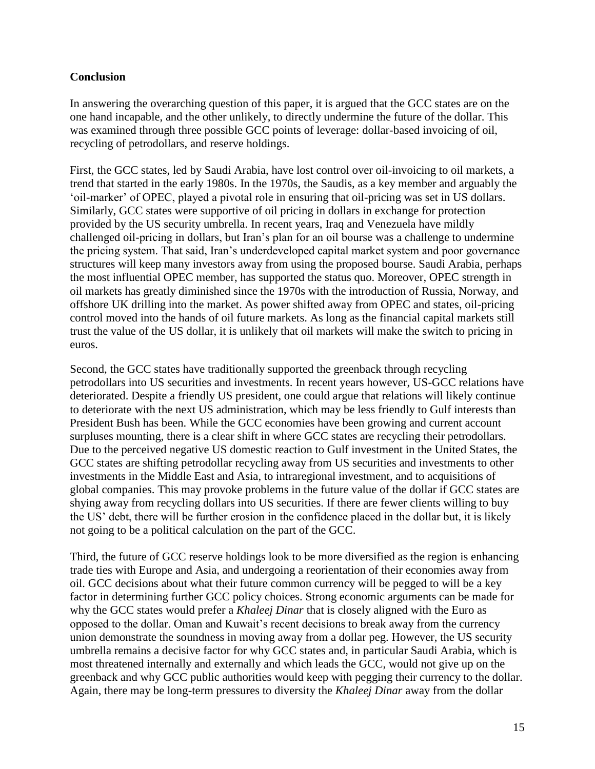### **Conclusion**

In answering the overarching question of this paper, it is argued that the GCC states are on the one hand incapable, and the other unlikely, to directly undermine the future of the dollar. This was examined through three possible GCC points of leverage: dollar-based invoicing of oil, recycling of petrodollars, and reserve holdings.

First, the GCC states, led by Saudi Arabia, have lost control over oil-invoicing to oil markets, a trend that started in the early 1980s. In the 1970s, the Saudis, as a key member and arguably the "oil-marker" of OPEC, played a pivotal role in ensuring that oil-pricing was set in US dollars. Similarly, GCC states were supportive of oil pricing in dollars in exchange for protection provided by the US security umbrella. In recent years, Iraq and Venezuela have mildly challenged oil-pricing in dollars, but Iran"s plan for an oil bourse was a challenge to undermine the pricing system. That said, Iran"s underdeveloped capital market system and poor governance structures will keep many investors away from using the proposed bourse. Saudi Arabia, perhaps the most influential OPEC member, has supported the status quo. Moreover, OPEC strength in oil markets has greatly diminished since the 1970s with the introduction of Russia, Norway, and offshore UK drilling into the market. As power shifted away from OPEC and states, oil-pricing control moved into the hands of oil future markets. As long as the financial capital markets still trust the value of the US dollar, it is unlikely that oil markets will make the switch to pricing in euros.

Second, the GCC states have traditionally supported the greenback through recycling petrodollars into US securities and investments. In recent years however, US-GCC relations have deteriorated. Despite a friendly US president, one could argue that relations will likely continue to deteriorate with the next US administration, which may be less friendly to Gulf interests than President Bush has been. While the GCC economies have been growing and current account surpluses mounting, there is a clear shift in where GCC states are recycling their petrodollars. Due to the perceived negative US domestic reaction to Gulf investment in the United States, the GCC states are shifting petrodollar recycling away from US securities and investments to other investments in the Middle East and Asia, to intraregional investment, and to acquisitions of global companies. This may provoke problems in the future value of the dollar if GCC states are shying away from recycling dollars into US securities. If there are fewer clients willing to buy the US" debt, there will be further erosion in the confidence placed in the dollar but, it is likely not going to be a political calculation on the part of the GCC.

Third, the future of GCC reserve holdings look to be more diversified as the region is enhancing trade ties with Europe and Asia, and undergoing a reorientation of their economies away from oil. GCC decisions about what their future common currency will be pegged to will be a key factor in determining further GCC policy choices. Strong economic arguments can be made for why the GCC states would prefer a *Khaleej Dinar* that is closely aligned with the Euro as opposed to the dollar. Oman and Kuwait"s recent decisions to break away from the currency union demonstrate the soundness in moving away from a dollar peg. However, the US security umbrella remains a decisive factor for why GCC states and, in particular Saudi Arabia, which is most threatened internally and externally and which leads the GCC, would not give up on the greenback and why GCC public authorities would keep with pegging their currency to the dollar. Again, there may be long-term pressures to diversity the *Khaleej Dinar* away from the dollar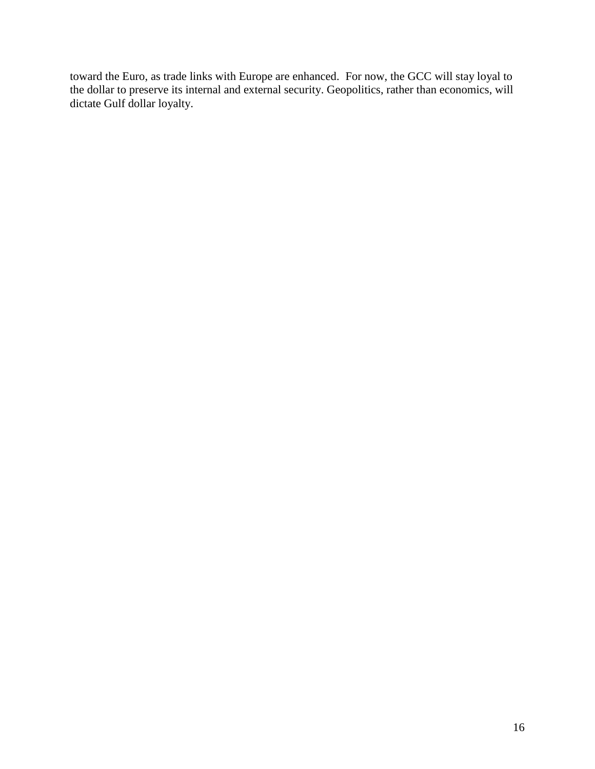toward the Euro, as trade links with Europe are enhanced. For now, the GCC will stay loyal to the dollar to preserve its internal and external security. Geopolitics, rather than economics, will dictate Gulf dollar loyalty.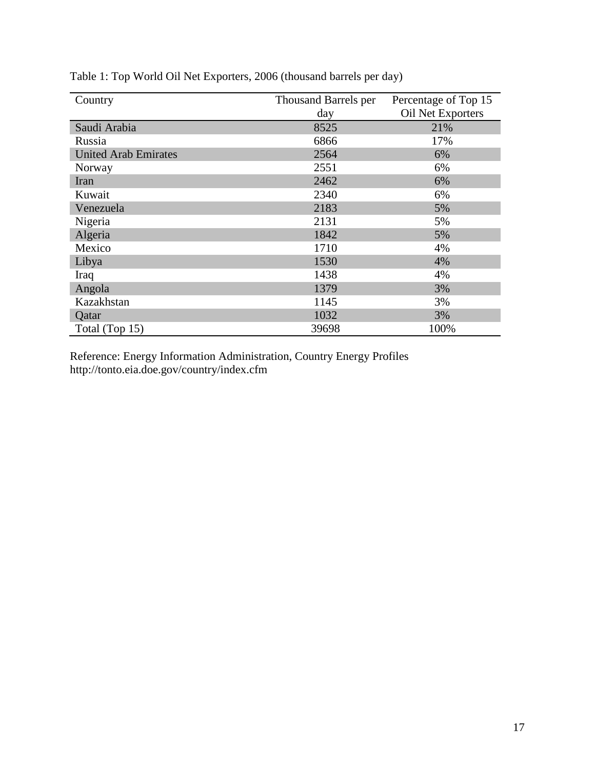| Country                     | Thousand Barrels per | Percentage of Top 15 |  |
|-----------------------------|----------------------|----------------------|--|
|                             | day                  | Oil Net Exporters    |  |
| Saudi Arabia                | 8525                 | 21%                  |  |
| Russia                      | 6866                 | 17%                  |  |
| <b>United Arab Emirates</b> | 2564                 | 6%                   |  |
| Norway                      | 2551                 | 6%                   |  |
| Iran                        | 2462                 | 6%                   |  |
| Kuwait                      | 2340                 | 6%                   |  |
| Venezuela                   | 2183                 | 5%                   |  |
| Nigeria                     | 2131                 | 5%                   |  |
| Algeria                     | 1842                 | 5%                   |  |
| Mexico                      | 1710                 | 4%                   |  |
| Libya                       | 1530                 | 4%                   |  |
| Iraq                        | 1438                 | 4%                   |  |
| Angola                      | 1379                 | 3%                   |  |
| Kazakhstan                  | 1145                 | 3%                   |  |
| Qatar                       | 1032                 | 3%                   |  |
| Total (Top 15)              | 39698                | 100%                 |  |

Table 1: Top World Oil Net Exporters, 2006 (thousand barrels per day)

Reference: Energy Information Administration, Country Energy Profiles http://tonto.eia.doe.gov/country/index.cfm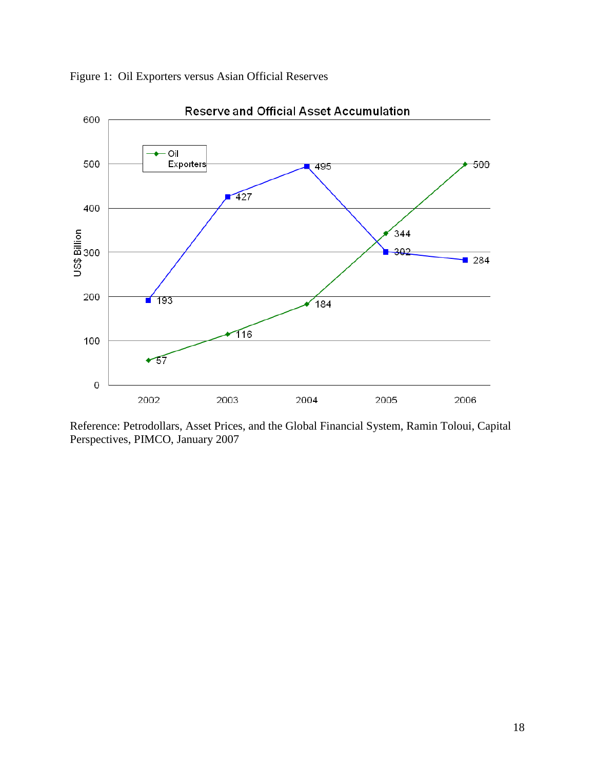

Figure 1: Oil Exporters versus Asian Official Reserves

Reference: Petrodollars, Asset Prices, and the Global Financial System, Ramin Toloui, Capital Perspectives, PIMCO, January 2007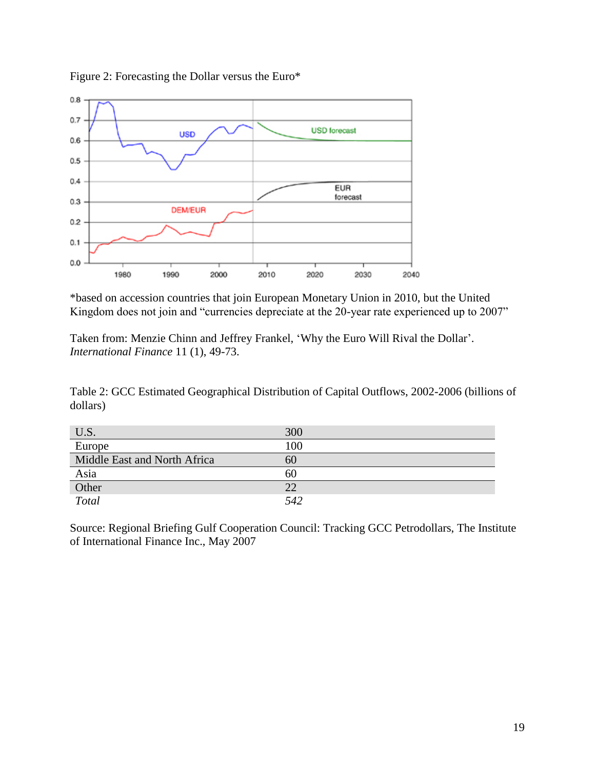



\*based on accession countries that join European Monetary Union in 2010, but the United Kingdom does not join and "currencies depreciate at the 20-year rate experienced up to 2007"

Taken from: Menzie Chinn and Jeffrey Frankel, "Why the Euro Will Rival the Dollar". *International Finance* 11 (1), 49-73.

Table 2: GCC Estimated Geographical Distribution of Capital Outflows, 2002-2006 (billions of dollars)

| U.S.                         | 300 |
|------------------------------|-----|
| Europe                       | 100 |
| Middle East and North Africa | 6U  |
| Asia                         | 60  |
| Other                        | 22  |
| Total                        | 542 |

Source: Regional Briefing Gulf Cooperation Council: Tracking GCC Petrodollars, The Institute of International Finance Inc., May 2007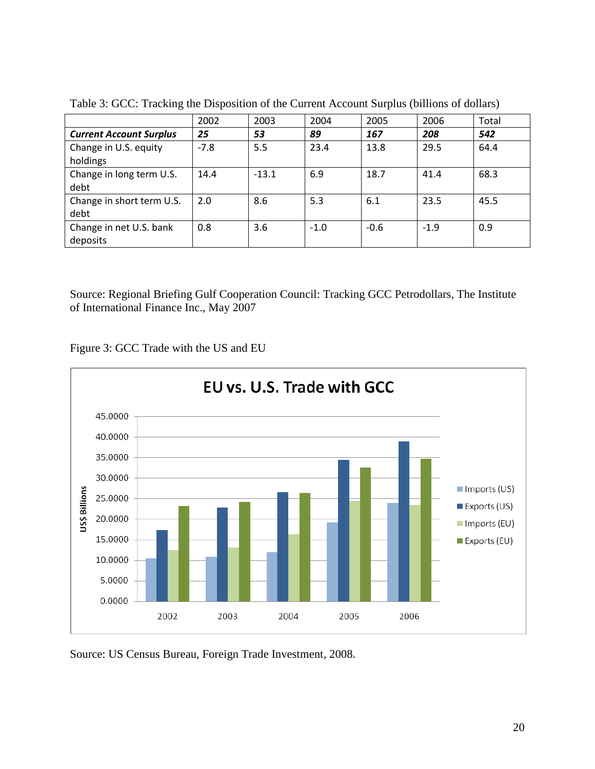|                                | 2002   | 2003    | 2004   | 2005   | 2006   | Total |
|--------------------------------|--------|---------|--------|--------|--------|-------|
| <b>Current Account Surplus</b> | 25     | 53      | 89     | 167    | 208    | 542   |
| Change in U.S. equity          | $-7.8$ | 5.5     | 23.4   | 13.8   | 29.5   | 64.4  |
| holdings                       |        |         |        |        |        |       |
| Change in long term U.S.       | 14.4   | $-13.1$ | 6.9    | 18.7   | 41.4   | 68.3  |
| debt                           |        |         |        |        |        |       |
| Change in short term U.S.      | 2.0    | 8.6     | 5.3    | 6.1    | 23.5   | 45.5  |
| debt                           |        |         |        |        |        |       |
| Change in net U.S. bank        | 0.8    | 3.6     | $-1.0$ | $-0.6$ | $-1.9$ | 0.9   |
| deposits                       |        |         |        |        |        |       |

Table 3: GCC: Tracking the Disposition of the Current Account Surplus (billions of dollars)

Source: Regional Briefing Gulf Cooperation Council: Tracking GCC Petrodollars, The Institute of International Finance Inc., May 2007





Source: US Census Bureau, Foreign Trade Investment, 2008.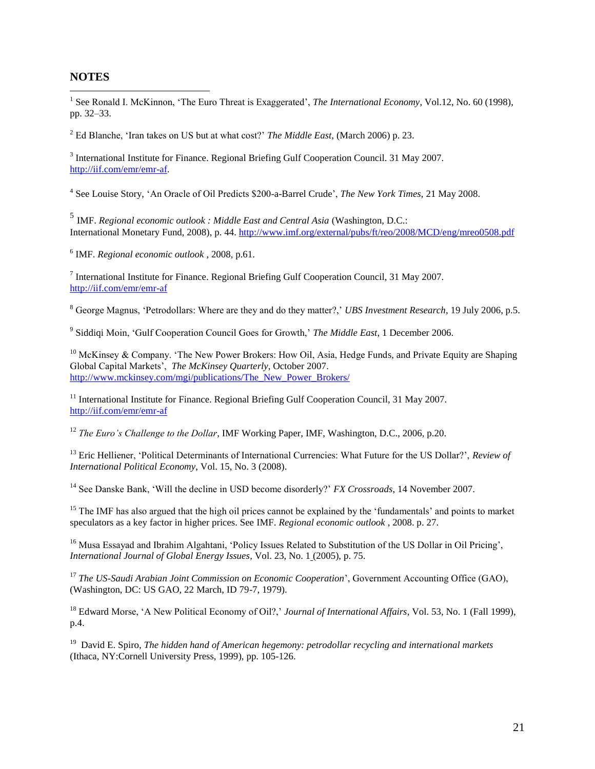#### **NOTES**

 $\overline{a}$ 

<sup>1</sup> See Ronald I. McKinnon, 'The Euro Threat is Exaggerated', *The International Economy*, Vol.12, No. 60 (1998), pp. 32–33.

<sup>2</sup> Ed Blanche, "Iran takes on US but at what cost?" *The Middle East*, (March 2006) p. 23.

<sup>3</sup> International Institute for Finance. Regional Briefing Gulf Cooperation Council. 31 May 2007. [http://iif.com/emr/emr-af.](http://iif.com/emr/emr-af)

4 See Louise Story, "An Oracle of Oil Predicts \$200-a-Barrel Crude", *The New York Times*, 21 May 2008.

5 IMF. *Regional economic outlook : Middle East and Central Asia* (Washington, D.C.: International Monetary Fund, 2008), p. 44. <http://www.imf.org/external/pubs/ft/reo/2008/MCD/eng/mreo0508.pdf>

6 IMF. *Regional economic outlook* , 2008, p.61.

<sup>7</sup> International Institute for Finance. Regional Briefing Gulf Cooperation Council, 31 May 2007. <http://iif.com/emr/emr-af>

<sup>8</sup> George Magnus, 'Petrodollars: Where are they and do they matter?,' *UBS Investment Research*, 19 July 2006, p.5.

9 Siddiqi Moin, "Gulf Cooperation Council Goes for Growth," *The Middle East*, 1 December 2006.

<sup>10</sup> McKinsey & Company. 'The New Power Brokers: How Oil, Asia, Hedge Funds, and Private Equity are Shaping Global Capital Markets", *The McKinsey Quarterly*, October 2007. [http://www.mckinsey.com/mgi/publications/The\\_New\\_Power\\_Brokers/](http://www.mckinsey.com/mgi/publications/The_New_Power_Brokers/)

<sup>11</sup> International Institute for Finance. Regional Briefing Gulf Cooperation Council, 31 May 2007. <http://iif.com/emr/emr-af>

<sup>12</sup> *The Euro's Challenge to the Dollar*, IMF Working Paper, IMF, Washington, D.C., 2006, p.20.

<sup>13</sup> Eric Helliener, 'Political Determinants of International Currencies: What Future for the US Dollar?', *Review of International Political Economy*, Vol. 15, No. 3 (2008).

<sup>14</sup> See Danske Bank, "Will the decline in USD become disorderly?" *FX Crossroads*, 14 November 2007.

<sup>15</sup> The IMF has also argued that the high oil prices cannot be explained by the 'fundamentals' and points to market speculators as a key factor in higher prices. See IMF. *Regional economic outlook* , 2008. p. 27.

<sup>16</sup> Musa Essayad and Ibrahim Algahtani, 'Policy Issues Related to Substitution of the US Dollar in Oil Pricing', *International Journal of Global Energy Issues*, Vol. 23, No. 1 (2005), p. 75.

<sup>17</sup> *The US-Saudi Arabian Joint Commission on Economic Cooperation*', Government Accounting Office (GAO), (Washington, DC: US GAO, 22 March, ID 79-7, 1979).

<sup>18</sup> Edward Morse, 'A New Political Economy of Oil?,' *Journal of International Affairs*, Vol. 53, No. 1 (Fall 1999), p.4.

<sup>19</sup> David E. Spiro, *The hidden hand of American hegemony: petrodollar recycling and international markets* (Ithaca, NY:Cornell University Press, 1999), pp. 105-126.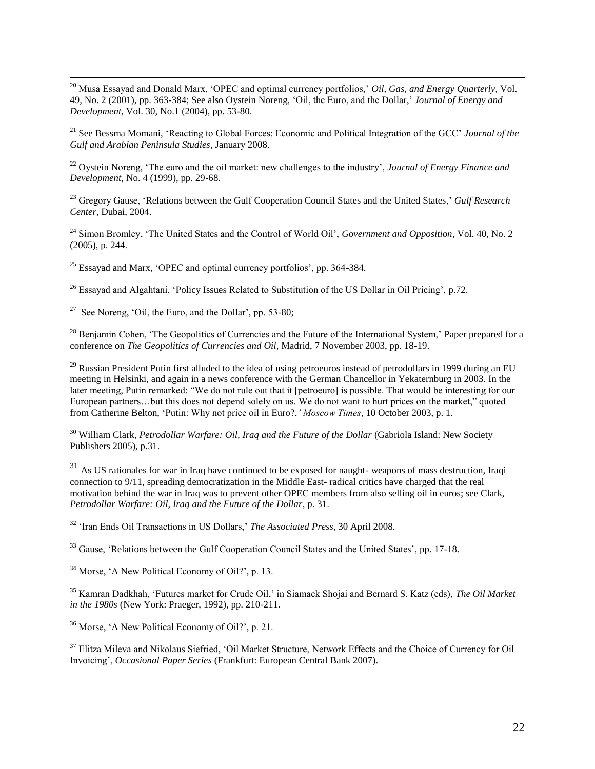$\overline{a}$ <sup>20</sup> Musa Essayad and Donald Marx, 'OPEC and optimal currency portfolios,' *Oil, Gas, and Energy Quarterly*, Vol. 49, No. 2 (2001), pp. 363-384; See also Oystein Noreng, "Oil, the Euro, and the Dollar," *Journal of Energy and Development,* Vol. 30, No.1 (2004), pp. 53-80.

<sup>21</sup> See Bessma Momani, "Reacting to Global Forces: Economic and Political Integration of the GCC" *Journal of the Gulf and Arabian Peninsula Studies*, January 2008.

<sup>22</sup> Oystein Noreng, 'The euro and the oil market: new challenges to the industry', *Journal of Energy Finance and Development*, No. 4 (1999), pp. 29-68.

<sup>23</sup> Gregory Gause, 'Relations between the Gulf Cooperation Council States and the United States,' *Gulf Research Center*, Dubai, 2004.

<sup>24</sup> Simon Bromley, 'The United States and the Control of World Oil', *Government and Opposition*, Vol. 40, No. 2 (2005), p. 244.

 $25$  Essayad and Marx, 'OPEC and optimal currency portfolios', pp. 364-384.

<sup>26</sup> Essayad and Algahtani, 'Policy Issues Related to Substitution of the US Dollar in Oil Pricing', p.72.

<sup>27</sup> See Noreng, 'Oil, the Euro, and the Dollar', pp. 53-80;

<sup>28</sup> Benjamin Cohen, 'The Geopolitics of Currencies and the Future of the International System,' Paper prepared for a conference on *The Geopolitics of Currencies and Oil*, Madrid, 7 November 2003, pp. 18-19.

 $^{29}$  Russian President Putin first alluded to the idea of using petroeuros instead of petrodollars in 1999 during an EU meeting in Helsinki, and again in a news conference with the German Chancellor in Yekaternburg in 2003. In the later meeting, Putin remarked: "We do not rule out that it [petroeuro] is possible. That would be interesting for our European partners…but this does not depend solely on us. We do not want to hurt prices on the market," quoted from Catherine Belton, "Putin: Why not price oil in Euro?,*' Moscow Times*, 10 October 2003, p. 1.

<sup>30</sup> William Clark, *Petrodollar Warfare: Oil, Iraq and the Future of the Dollar* (Gabriola Island: New Society Publishers 2005), p.31.

 $31$  As US rationales for war in Iraq have continued to be exposed for naught- weapons of mass destruction, Iraqi connection to 9/11, spreading democratization in the Middle East- radical critics have charged that the real motivation behind the war in Iraq was to prevent other OPEC members from also selling oil in euros; see Clark, *Petrodollar Warfare: Oil, Iraq and the Future of the Dollar*, p. 31.

<sup>32</sup> "Iran Ends Oil Transactions in US Dollars," *The Associated Press*, 30 April 2008.

<sup>33</sup> Gause, 'Relations between the Gulf Cooperation Council States and the United States', pp. 17-18.

<sup>34</sup> Morse, 'A New Political Economy of Oil?'. p. 13.

<sup>35</sup> Kamran Dadkhah, "Futures market for Crude Oil," in Siamack Shojai and Bernard S. Katz (eds), *The Oil Market in the 1980s* (New York: Praeger, 1992), pp. 210-211.

<sup>36</sup> Morse, 'A New Political Economy of Oil?', p. 21.

<sup>37</sup> Elitza Mileva and Nikolaus Siefried, 'Oil Market Structure, Network Effects and the Choice of Currency for Oil Invoicing", *Occasional Paper Series* (Frankfurt: European Central Bank 2007).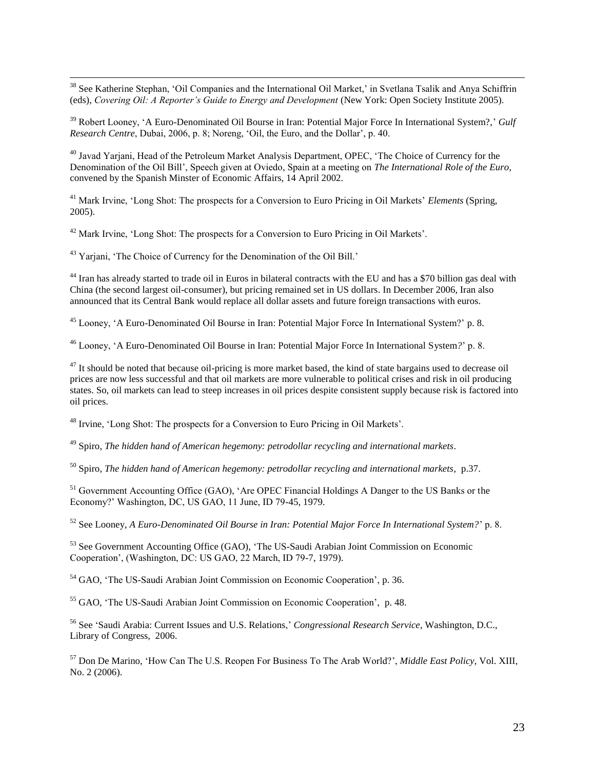<sup>38</sup> See Katherine Stephan, 'Oil Companies and the International Oil Market,' in Svetlana Tsalik and Anya Schiffrin (eds), *Covering Oil: A Reporter's Guide to Energy and Development* (New York: Open Society Institute 2005).

<sup>39</sup> Robert Looney, 'A Euro-Denominated Oil Bourse in Iran: Potential Major Force In International System?,' *Gulf Research Centre*, Dubai, 2006, p. 8; Noreng, "Oil, the Euro, and the Dollar", p. 40.

<sup>40</sup> Javad Yarjani, Head of the Petroleum Market Analysis Department, OPEC, "The Choice of Currency for the Denomination of the Oil Bill", Speech given at Oviedo, Spain at a meeting on *The International Role of the Euro*, convened by the Spanish Minster of Economic Affairs, 14 April 2002.

<sup>41</sup> Mark Irvine, 'Long Shot: The prospects for a Conversion to Euro Pricing in Oil Markets' *Elements* (Spring, 2005).

<sup>42</sup> Mark Irvine, 'Long Shot: The prospects for a Conversion to Euro Pricing in Oil Markets'.

<sup>43</sup> Yarjani, 'The Choice of Currency for the Denomination of the Oil Bill.'

 $\overline{a}$ 

<sup>44</sup> Iran has already started to trade oil in Euros in bilateral contracts with the EU and has a \$70 billion gas deal with China (the second largest oil-consumer), but pricing remained set in US dollars. In December 2006, Iran also announced that its Central Bank would replace all dollar assets and future foreign transactions with euros.

<sup>45</sup> Looney, 'A Euro-Denominated Oil Bourse in Iran: Potential Major Force In International System?' p. 8.

<sup>46</sup> Looney, "A Euro-Denominated Oil Bourse in Iran: Potential Major Force In International System*?*" p. 8.

 $47$  It should be noted that because oil-pricing is more market based, the kind of state bargains used to decrease oil prices are now less successful and that oil markets are more vulnerable to political crises and risk in oil producing states. So, oil markets can lead to steep increases in oil prices despite consistent supply because risk is factored into oil prices.

<sup>48</sup> Irvine, 'Long Shot: The prospects for a Conversion to Euro Pricing in Oil Markets'.

<sup>49</sup> Spiro, *The hidden hand of American hegemony: petrodollar recycling and international markets*.

<sup>50</sup> Spiro, *The hidden hand of American hegemony: petrodollar recycling and international markets*, p.37.

<sup>51</sup> Government Accounting Office (GAO), 'Are OPEC Financial Holdings A Danger to the US Banks or the Economy?" Washington, DC, US GAO, 11 June, ID 79-45, 1979.

<sup>52</sup> See Looney, *A Euro-Denominated Oil Bourse in Iran: Potential Major Force In International System?*" p. 8.

<sup>53</sup> See Government Accounting Office (GAO), 'The US-Saudi Arabian Joint Commission on Economic Cooperation", (Washington, DC: US GAO, 22 March, ID 79-7, 1979).

<sup>54</sup> GAO, 'The US-Saudi Arabian Joint Commission on Economic Cooperation', p. 36.

<sup>55</sup> GAO, 'The US-Saudi Arabian Joint Commission on Economic Cooperation', p. 48.

<sup>56</sup> See "Saudi Arabia: Current Issues and U.S. Relations," *Congressional Research Service*, Washington, D.C., Library of Congress, 2006.

<sup>57</sup> Don De Marino, "How Can The U.S. Reopen For Business To The Arab World?", *Middle East Policy*, Vol. XIII, No. 2 (2006).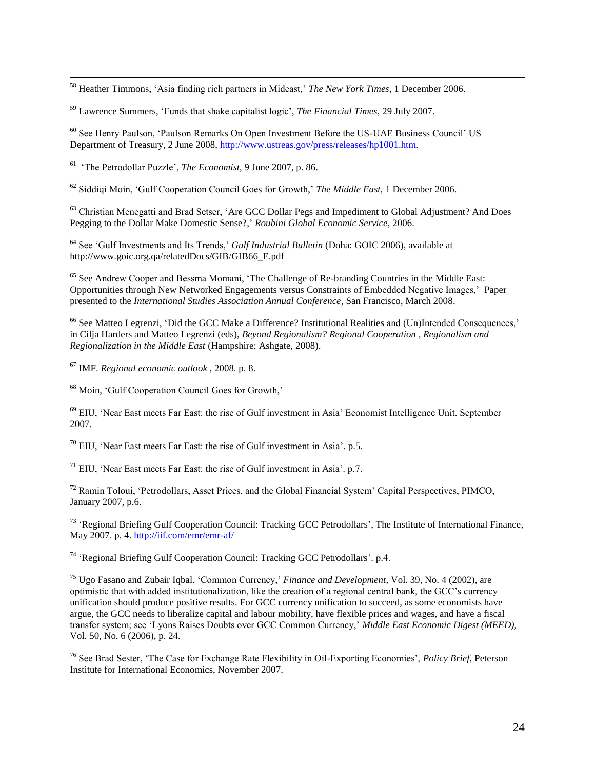<sup>58</sup> Heather Timmons, "Asia finding rich partners in Mideast," *The New York Times*, 1 December 2006.

<sup>59</sup> Lawrence Summers, "Funds that shake capitalist logic", *The Financial Times*, 29 July 2007.

<sup>60</sup> See Henry Paulson, "Paulson Remarks On Open Investment Before the US-UAE Business Council" US Department of Treasury, 2 June 2008, [http://www.ustreas.gov/press/releases/hp1001.htm.](http://www.ustreas.gov/press/releases/hp1001.htm)

61 "The Petrodollar Puzzle", *The Economist*, 9 June 2007, p. 86.

 $\overline{a}$ 

<sup>62</sup> Siddiqi Moin, "Gulf Cooperation Council Goes for Growth," *The Middle East,* 1 December 2006.

<sup>63</sup> Christian Menegatti and Brad Setser, 'Are GCC Dollar Pegs and Impediment to Global Adjustment? And Does Pegging to the Dollar Make Domestic Sense?," *Roubini Global Economic Service*, 2006.

<sup>64</sup> See 'Gulf Investments and Its Trends,' *Gulf Industrial Bulletin* (Doha: GOIC 2006), available at http://www.goic.org.qa/relatedDocs/GIB/GIB66\_E.pdf

<sup>65</sup> See Andrew Cooper and Bessma Momani, 'The Challenge of Re-branding Countries in the Middle East: Opportunities through New Networked Engagements versus Constraints of Embedded Negative Images," Paper presented to the *International Studies Association Annual Conference*, San Francisco, March 2008.

<sup>66</sup> See Matteo Legrenzi, 'Did the GCC Make a Difference? Institutional Realities and (Un)Intended Consequences,' in Cilja Harders and Matteo Legrenzi (eds), *Beyond Regionalism? Regional Cooperation , Regionalism and Regionalization in the Middle East* (Hampshire: Ashgate, 2008).

<sup>67</sup> IMF. *Regional economic outlook* , 2008. p. 8.

<sup>68</sup> Moin, 'Gulf Cooperation Council Goes for Growth,'

<sup>69</sup> EIU, "Near East meets Far East: the rise of Gulf investment in Asia" Economist Intelligence Unit. September 2007.

 $70$  EIU. 'Near East meets Far East: the rise of Gulf investment in Asia'. p.5.

 $71$  EIU, 'Near East meets Far East: the rise of Gulf investment in Asia'. p.7.

<sup>72</sup> Ramin Toloui, "Petrodollars, Asset Prices, and the Global Financial System" Capital Perspectives, PIMCO, January 2007, p.6.

<sup>73</sup> 'Regional Briefing Gulf Cooperation Council: Tracking GCC Petrodollars', The Institute of International Finance. May 2007. p. 4. <http://iif.com/emr/emr-af/>

<sup>74</sup> 'Regional Briefing Gulf Cooperation Council: Tracking GCC Petrodollars'. p.4.

<sup>75</sup> Ugo Fasano and Zubair Iqbal, "Common Currency," *Finance and Development*, Vol. 39, No. 4 (2002), are optimistic that with added institutionalization, like the creation of a regional central bank, the GCC"s currency unification should produce positive results. For GCC currency unification to succeed, as some economists have argue, the GCC needs to liberalize capital and labour mobility, have flexible prices and wages, and have a fiscal transfer system; see "Lyons Raises Doubts over GCC Common Currency," *Middle East Economic Digest (MEED),* Vol. 50, No. 6 (2006), p. 24.

<sup>76</sup> See Brad Sester, "The Case for Exchange Rate Flexibility in Oil-Exporting Economies", *Policy Brief*, Peterson Institute for International Economics, November 2007.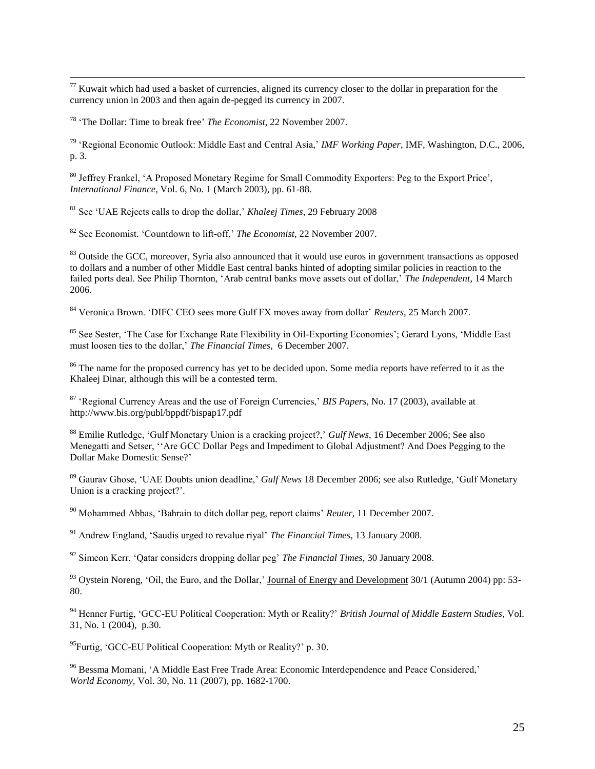$\overline{a}$  $77$  Kuwait which had used a basket of currencies, aligned its currency closer to the dollar in preparation for the currency union in 2003 and then again de-pegged its currency in 2007.

<sup>78</sup> "The Dollar: Time to break free" *The Economist*, 22 November 2007.

<sup>79</sup> "Regional Economic Outlook: Middle East and Central Asia," *IMF Working Paper*, IMF, Washington, D.C., 2006, p. 3.

<sup>80</sup> Jeffrey Frankel, 'A Proposed Monetary Regime for Small Commodity Exporters: Peg to the Export Price', *International Finance*, Vol. 6, No. 1 (March 2003), pp. 61-88.

<sup>81</sup> See "UAE Rejects calls to drop the dollar," *Khaleej Times*, 29 February 2008

<sup>82</sup> See Economist. "Countdown to lift-off," *The Economist*, 22 November 2007.

<sup>83</sup> Outside the GCC, moreover, Syria also announced that it would use euros in government transactions as opposed to dollars and a number of other Middle East central banks hinted of adopting similar policies in reaction to the failed ports deal. See Philip Thornton, "Arab central banks move assets out of dollar," *The Independent*, 14 March 2006.

<sup>84</sup> Veronica Brown. "DIFC CEO sees more Gulf FX moves away from dollar" *Reuters*, 25 March 2007.

<sup>85</sup> See Sester, 'The Case for Exchange Rate Flexibility in Oil-Exporting Economies'; Gerard Lyons, 'Middle East must loosen ties to the dollar," *The Financial Times*, 6 December 2007.

<sup>86</sup> The name for the proposed currency has yet to be decided upon. Some media reports have referred to it as the Khaleej Dinar, although this will be a contested term.

<sup>87</sup> "Regional Currency Areas and the use of Foreign Currencies," *BIS Papers*, No. 17 (2003), available at http://www.bis.org/publ/bppdf/bispap17.pdf

<sup>88</sup> Emilie Rutledge, 'Gulf Monetary Union is a cracking project?,' *Gulf News*, 16 December 2006; See also Menegatti and Setser, ""Are GCC Dollar Pegs and Impediment to Global Adjustment? And Does Pegging to the Dollar Make Domestic Sense?"

<sup>89</sup> Gaurav Ghose, "UAE Doubts union deadline," *Gulf News* 18 December 2006; see also Rutledge, "Gulf Monetary Union is a cracking project?'.

<sup>90</sup> Mohammed Abbas, "Bahrain to ditch dollar peg, report claims" *Reuter*, 11 December 2007.

<sup>91</sup> Andrew England, "Saudis urged to revalue riyal" *The Financial Times*, 13 January 2008.

<sup>92</sup> Simeon Kerr, "Qatar considers dropping dollar peg" *The Financial Times*, 30 January 2008.

<sup>93</sup> Oystein Noreng, 'Oil, the Euro, and the Dollar,' Journal of Energy and Development 30/1 (Autumn 2004) pp: 53-80.

<sup>94</sup> Henner Furtig, "GCC-EU Political Cooperation: Myth or Reality?" *British Journal of Middle Eastern Studies*, Vol. 31, No. 1 (2004), p.30.

<sup>95</sup>Furtig, 'GCC-EU Political Cooperation: Myth or Reality?' p. 30.

<sup>96</sup> Bessma Momani, "A Middle East Free Trade Area: Economic Interdependence and Peace Considered," *World Economy,* Vol. 30, No. 11 (2007), pp. 1682-1700.